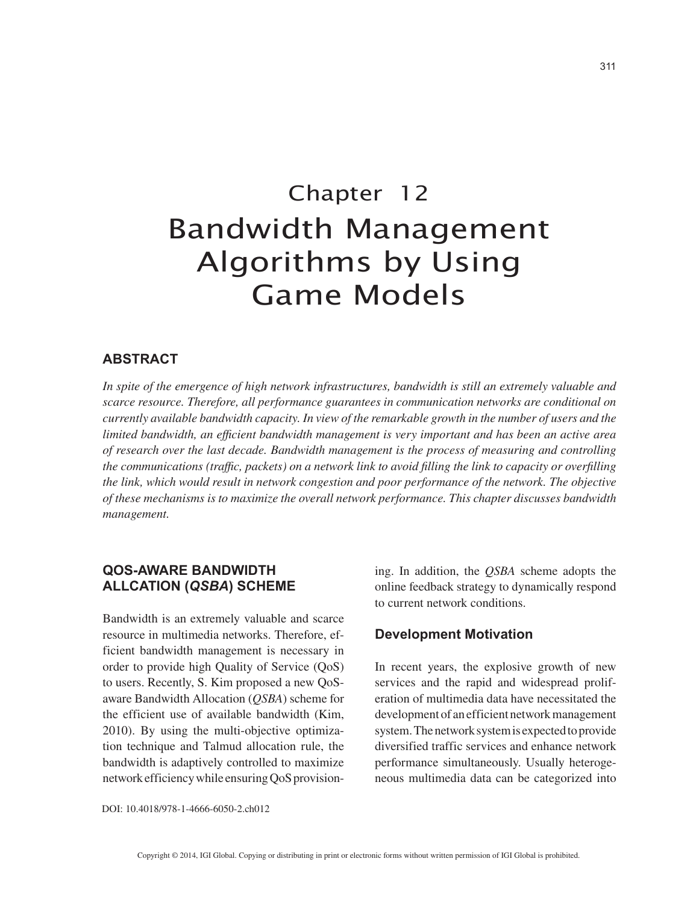# Chapter 12 Bandwidth Management Algorithms by Using Game Models

# **ABSTRACT**

*In spite of the emergence of high network infrastructures, bandwidth is still an extremely valuable and scarce resource. Therefore, all performance guarantees in communication networks are conditional on currently available bandwidth capacity. In view of the remarkable growth in the number of users and the limited bandwidth, an efficient bandwidth management is very important and has been an active area of research over the last decade. Bandwidth management is the process of measuring and controlling the communications (traffic, packets) on a network link to avoid filling the link to capacity or overfilling the link, which would result in network congestion and poor performance of the network. The objective of these mechanisms is to maximize the overall network performance. This chapter discusses bandwidth management.*

# **QOS-AWARE BANDWIDTH ALLCATION (***QSBA***) SCHEME**

Bandwidth is an extremely valuable and scarce resource in multimedia networks. Therefore, efficient bandwidth management is necessary in order to provide high Quality of Service (QoS) to users. Recently, S. Kim proposed a new QoSaware Bandwidth Allocation (*QSBA*) scheme for the efficient use of available bandwidth (Kim, 2010). By using the multi-objective optimization technique and Talmud allocation rule, the bandwidth is adaptively controlled to maximize network efficiency while ensuring QoS provisioning. In addition, the *QSBA* scheme adopts the online feedback strategy to dynamically respond to current network conditions.

## **Development Motivation**

In recent years, the explosive growth of new services and the rapid and widespread proliferation of multimedia data have necessitated the development of an efficient network management system. The network system is expected to provide diversified traffic services and enhance network performance simultaneously. Usually heterogeneous multimedia data can be categorized into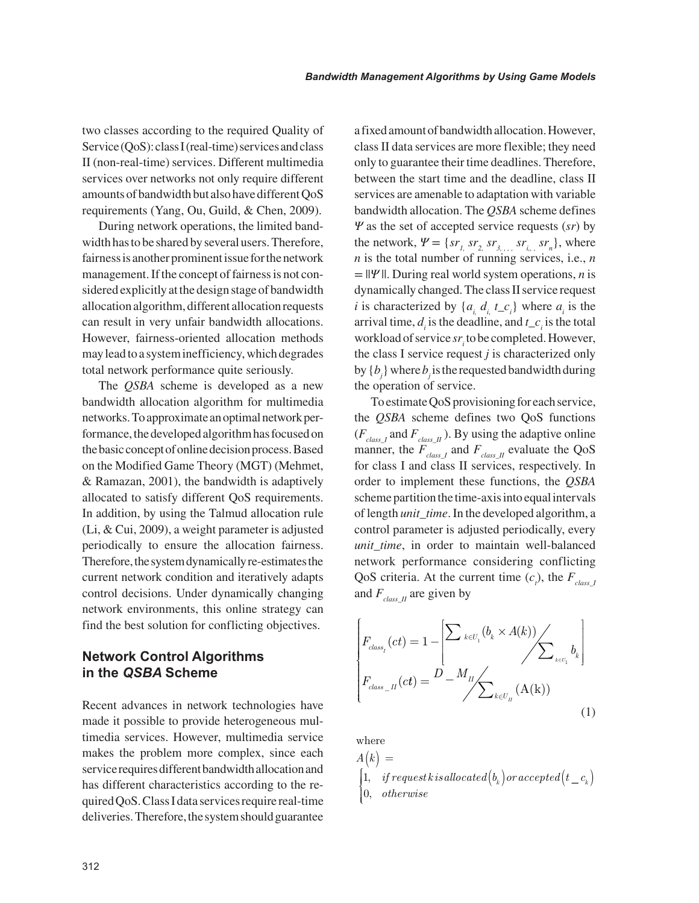two classes according to the required Quality of Service (QoS): class I (real-time) services and class II (non-real-time) services. Different multimedia services over networks not only require different amounts of bandwidth but also have different QoS requirements (Yang, Ou, Guild, & Chen, 2009).

During network operations, the limited bandwidth has to be shared by several users. Therefore, fairness is another prominent issue for the network management. If the concept of fairness is not considered explicitly at the design stage of bandwidth allocation algorithm, different allocation requests can result in very unfair bandwidth allocations. However, fairness-oriented allocation methods may lead to a system inefficiency, which degrades total network performance quite seriously.

The *QSBA* scheme is developed as a new bandwidth allocation algorithm for multimedia networks. To approximate an optimal network performance, the developed algorithm has focused on the basic concept of online decision process. Based on the Modified Game Theory (MGT) (Mehmet, & Ramazan, 2001), the bandwidth is adaptively allocated to satisfy different QoS requirements. In addition, by using the Talmud allocation rule (Li, & Cui, 2009), a weight parameter is adjusted periodically to ensure the allocation fairness. Therefore, the system dynamically re-estimates the current network condition and iteratively adapts control decisions. Under dynamically changing network environments, this online strategy can find the best solution for conflicting objectives.

## **Network Control Algorithms in the** *QSBA* **Scheme**

Recent advances in network technologies have made it possible to provide heterogeneous multimedia services. However, multimedia service makes the problem more complex, since each service requires different bandwidth allocation and has different characteristics according to the required QoS. Class I data services require real-time deliveries. Therefore, the system should guarantee a fixed amount of bandwidth allocation. However, class II data services are more flexible; they need only to guarantee their time deadlines. Therefore, between the start time and the deadline, class II services are amenable to adaptation with variable bandwidth allocation. The *QSBA* scheme defines *Ψ* as the set of accepted service requests (*sr*) by the network,  $\Psi = \{sr_{1,} sr_{2,} sr_{3,1,1}, sr_{i,1,} sr_n\}$ , where *n* is the total number of running services, i.e., *n* = ||*Ψ* ||. During real world system operations, *n* is dynamically changed. The class II service request *i* is characterized by  $\{a_{i}, d_{i}, t_{i} \leq c_{i}\}$  where  $a_{i}$  is the arrival time,  $d_i$  is the deadline, and  $t_c$  is the total workload of service *sr*<sub>i</sub> to be completed. However, the class I service request *j* is characterized only by  $\{b_j\}$  where  $b_j$  is the requested bandwidth during the operation of service.

To estimate QoS provisioning for each service, the *QSBA* scheme defines two QoS functions  $(F_{class\_I}$  and  $F_{class\_II}$ ). By using the adaptive online manner, the  $F_{class I}$  and  $F_{class II}$  evaluate the QoS for class I and class II services, respectively. In order to implement these functions, the *QSBA* scheme partition the time-axis into equal intervals of length *unit\_time*. In the developed algorithm, a control parameter is adjusted periodically, every *unit\_time*, in order to maintain well-balanced network performance considering conflicting QoS criteria. At the current time  $(c_i)$ , the  $F_{class}$ and  $F_{class\ II}$  are given by

$$
\begin{cases}\nF_{class_I}(ct) = 1 - \left[\sum_{k \in U_1} (b_k \times A(k)) / \sum_{k \in U_1} b_k\right] \\
F_{class_I}(ct) = D - M_I / \sum_{k \in U_I} (A(k))\n\end{cases}
$$
\n(1)

where

 $A(k) =$  $\iint$   $f$   $request$   $is$   $allocated$   $\left( b_{_{k}}\right) or\, accepted$   $\left( t_{_{k}}\right)$ , *c otherwise*  $\begin{pmatrix} 1, & \textit{if request} \textit{k} \textit{is allocated}\big(b_{\textit{k}}\big) \textit{or accepted}\big(t_{\textit{k}}\big) \end{pmatrix}$  $\left\{ \right.$ J  $\Big|0$